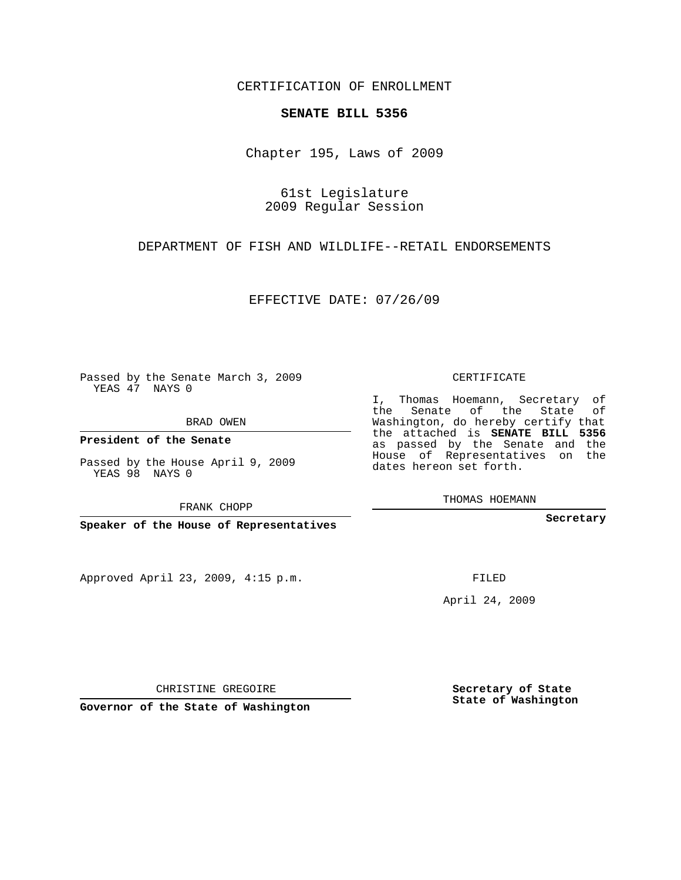CERTIFICATION OF ENROLLMENT

## **SENATE BILL 5356**

Chapter 195, Laws of 2009

61st Legislature 2009 Regular Session

DEPARTMENT OF FISH AND WILDLIFE--RETAIL ENDORSEMENTS

EFFECTIVE DATE: 07/26/09

Passed by the Senate March 3, 2009 YEAS 47 NAYS 0

BRAD OWEN

**President of the Senate**

Passed by the House April 9, 2009 YEAS 98 NAYS 0

FRANK CHOPP

**Speaker of the House of Representatives**

Approved April 23, 2009, 4:15 p.m.

CERTIFICATE

I, Thomas Hoemann, Secretary of the Senate of the State of Washington, do hereby certify that the attached is **SENATE BILL 5356** as passed by the Senate and the House of Representatives on the dates hereon set forth.

THOMAS HOEMANN

**Secretary**

FILED

April 24, 2009

CHRISTINE GREGOIRE

**Governor of the State of Washington**

**Secretary of State State of Washington**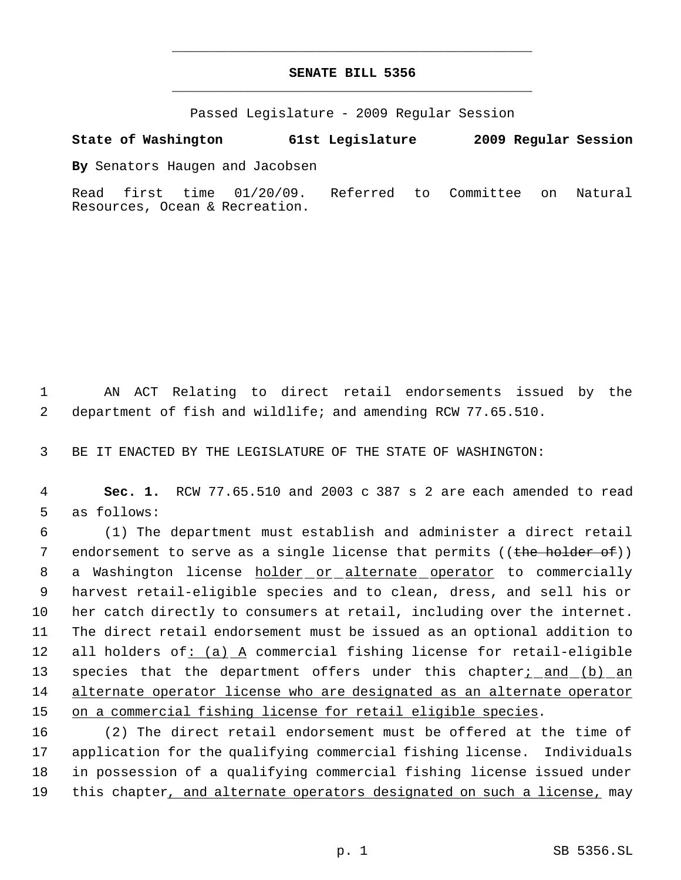## **SENATE BILL 5356** \_\_\_\_\_\_\_\_\_\_\_\_\_\_\_\_\_\_\_\_\_\_\_\_\_\_\_\_\_\_\_\_\_\_\_\_\_\_\_\_\_\_\_\_\_

\_\_\_\_\_\_\_\_\_\_\_\_\_\_\_\_\_\_\_\_\_\_\_\_\_\_\_\_\_\_\_\_\_\_\_\_\_\_\_\_\_\_\_\_\_

Passed Legislature - 2009 Regular Session

**State of Washington 61st Legislature 2009 Regular Session**

**By** Senators Haugen and Jacobsen

Read first time 01/20/09. Referred to Committee on Natural Resources, Ocean & Recreation.

 1 AN ACT Relating to direct retail endorsements issued by the 2 department of fish and wildlife; and amending RCW 77.65.510.

3 BE IT ENACTED BY THE LEGISLATURE OF THE STATE OF WASHINGTON:

 4 **Sec. 1.** RCW 77.65.510 and 2003 c 387 s 2 are each amended to read 5 as follows:

 6 (1) The department must establish and administer a direct retail 7 endorsement to serve as a single license that permits ((the holder of)) 8 a Washington license holder or alternate operator to commercially 9 harvest retail-eligible species and to clean, dress, and sell his or 10 her catch directly to consumers at retail, including over the internet. 11 The direct retail endorsement must be issued as an optional addition to 12 all holders of: (a) A commercial fishing license for retail-eligible 13 species that the department offers under this chapter<sub>i</sub> and (b) an 14 alternate operator license who are designated as an alternate operator 15 on a commercial fishing license for retail eligible species.

 (2) The direct retail endorsement must be offered at the time of application for the qualifying commercial fishing license. Individuals in possession of a qualifying commercial fishing license issued under 19 this chapter, and alternate operators designated on such a license, may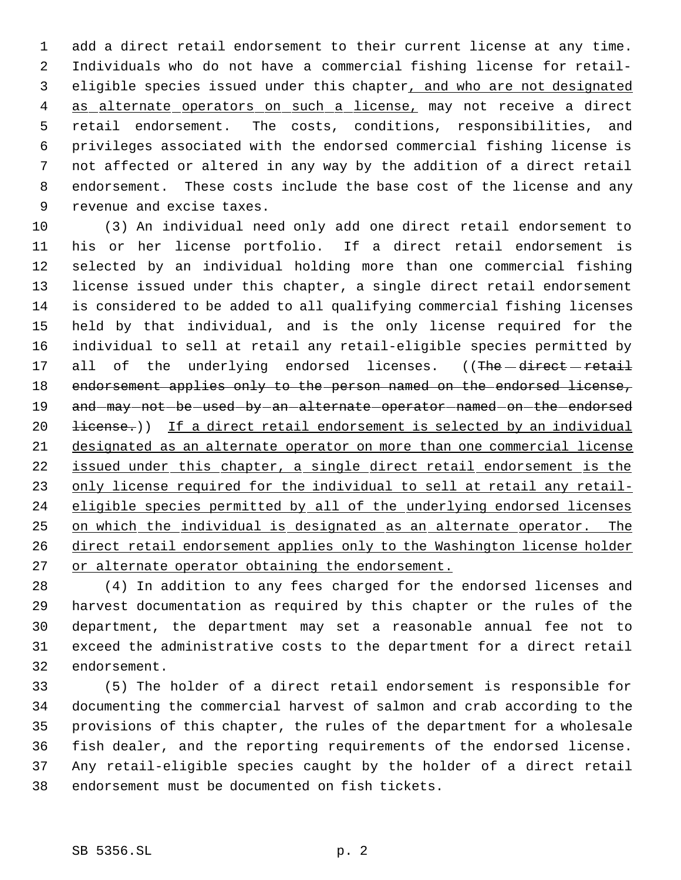add a direct retail endorsement to their current license at any time. Individuals who do not have a commercial fishing license for retail- 3 eligible species issued under this chapter, and who are not designated 4 as alternate operators on such a license, may not receive a direct retail endorsement. The costs, conditions, responsibilities, and privileges associated with the endorsed commercial fishing license is not affected or altered in any way by the addition of a direct retail endorsement. These costs include the base cost of the license and any revenue and excise taxes.

 (3) An individual need only add one direct retail endorsement to his or her license portfolio. If a direct retail endorsement is selected by an individual holding more than one commercial fishing license issued under this chapter, a single direct retail endorsement is considered to be added to all qualifying commercial fishing licenses held by that individual, and is the only license required for the individual to sell at retail any retail-eligible species permitted by 17 all of the underlying endorsed licenses. ((The direct retail 18 endorsement applies only to the person named on the endorsed license, 19 and may not be used by an alternate operator named on the endorsed 20 <del>license.</del>)) If a direct retail endorsement is selected by an individual designated as an alternate operator on more than one commercial license issued under this chapter, a single direct retail endorsement is the 23 only license required for the individual to sell at retail any retail-24 eligible species permitted by all of the underlying endorsed licenses on which the individual is designated as an alternate operator. The direct retail endorsement applies only to the Washington license holder 27 or alternate operator obtaining the endorsement.

 (4) In addition to any fees charged for the endorsed licenses and harvest documentation as required by this chapter or the rules of the department, the department may set a reasonable annual fee not to exceed the administrative costs to the department for a direct retail endorsement.

 (5) The holder of a direct retail endorsement is responsible for documenting the commercial harvest of salmon and crab according to the provisions of this chapter, the rules of the department for a wholesale fish dealer, and the reporting requirements of the endorsed license. Any retail-eligible species caught by the holder of a direct retail endorsement must be documented on fish tickets.